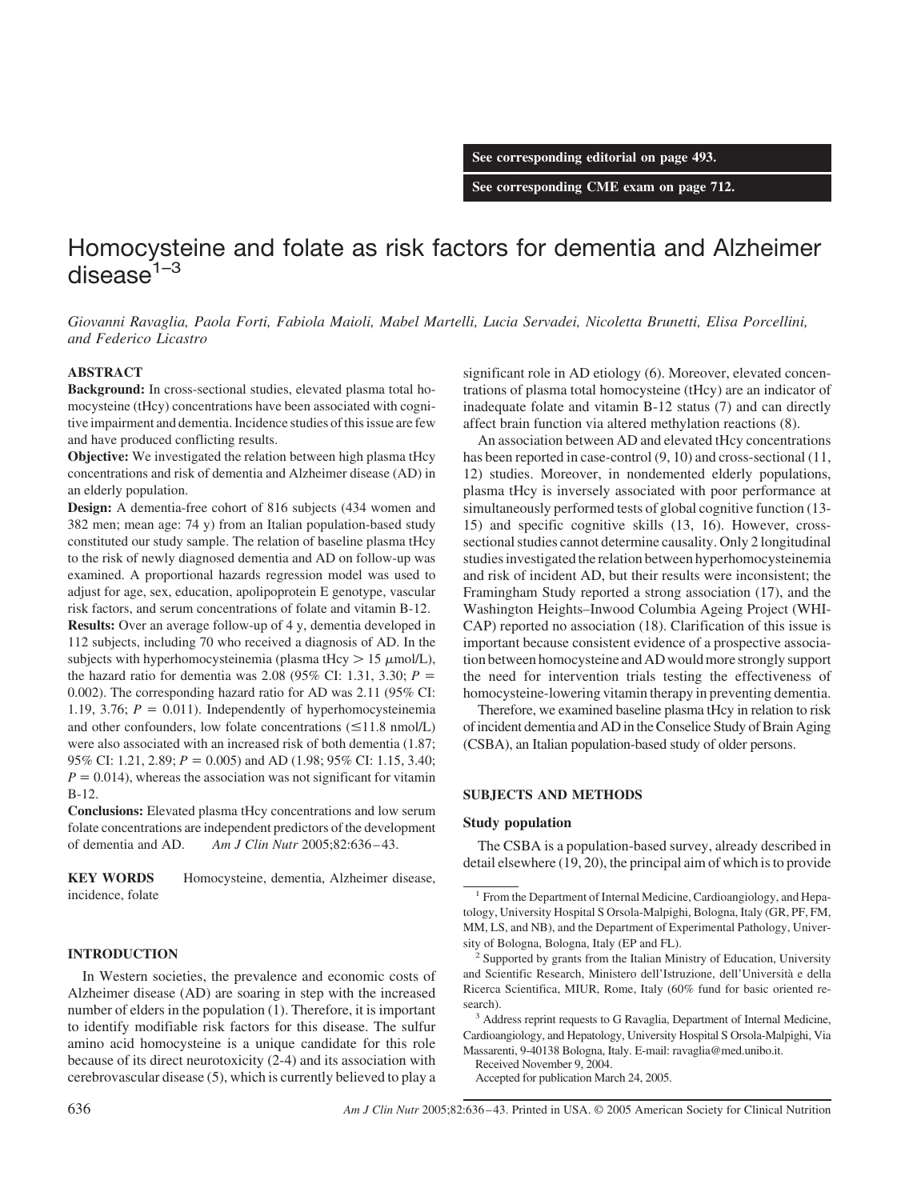**See corresponding editorial on page 493.**

**See corresponding CME exam on page 712.**

# Homocysteine and folate as risk factors for dementia and Alzheimer disease $1-3$

*Giovanni Ravaglia, Paola Forti, Fabiola Maioli, Mabel Martelli, Lucia Servadei, Nicoletta Brunetti, Elisa Porcellini, and Federico Licastro*

# **ABSTRACT**

**Background:** In cross-sectional studies, elevated plasma total homocysteine (tHcy) concentrations have been associated with cognitive impairment and dementia. Incidence studies of this issue are few and have produced conflicting results.

**Objective:** We investigated the relation between high plasma tHcy concentrations and risk of dementia and Alzheimer disease (AD) in an elderly population.

**Design:** A dementia-free cohort of 816 subjects (434 women and 382 men; mean age: 74 y) from an Italian population-based study constituted our study sample. The relation of baseline plasma tHcy to the risk of newly diagnosed dementia and AD on follow-up was examined. A proportional hazards regression model was used to adjust for age, sex, education, apolipoprotein E genotype, vascular risk factors, and serum concentrations of folate and vitamin B-12.

**Results:** Over an average follow-up of 4 y, dementia developed in 112 subjects, including 70 who received a diagnosis of AD. In the subjects with hyperhomocysteinemia (plasma tHcy  $> 15 \mu$ mol/L), the hazard ratio for dementia was 2.08 (95% CI: 1.31, 3.30;  $P =$ 0.002). The corresponding hazard ratio for AD was 2.11 (95% CI: 1.19, 3.76;  $P = 0.011$ ). Independently of hyperhomocysteinemia and other confounders, low folate concentrations  $(\leq 11.8 \text{ nmol/L})$ were also associated with an increased risk of both dementia (1.87; 95% CI: 1.21, 2.89; *P* - 0.005) and AD (1.98; 95% CI: 1.15, 3.40;  $P = 0.014$ , whereas the association was not significant for vitamin B-12.

**Conclusions:** Elevated plasma tHcy concentrations and low serum folate concentrations are independent predictors of the development of dementia and AD. *Am J Clin Nutr* 2005;82:636 – 43.

**KEY WORDS** Homocysteine, dementia, Alzheimer disease, incidence, folate

# **INTRODUCTION**

In Western societies, the prevalence and economic costs of Alzheimer disease (AD) are soaring in step with the increased number of elders in the population (1). Therefore, it is important to identify modifiable risk factors for this disease. The sulfur amino acid homocysteine is a unique candidate for this role because of its direct neurotoxicity (2-4) and its association with cerebrovascular disease (5), which is currently believed to play a

significant role in AD etiology (6). Moreover, elevated concentrations of plasma total homocysteine (tHcy) are an indicator of inadequate folate and vitamin B-12 status (7) and can directly affect brain function via altered methylation reactions (8).

An association between AD and elevated tHcy concentrations has been reported in case-control  $(9, 10)$  and cross-sectional  $(11, 10)$ 12) studies. Moreover, in nondemented elderly populations, plasma tHcy is inversely associated with poor performance at simultaneously performed tests of global cognitive function (13- 15) and specific cognitive skills (13, 16). However, crosssectional studies cannot determine causality. Only 2 longitudinal studies investigated the relation between hyperhomocysteinemia and risk of incident AD, but their results were inconsistent; the Framingham Study reported a strong association (17), and the Washington Heights–Inwood Columbia Ageing Project (WHI-CAP) reported no association (18). Clarification of this issue is important because consistent evidence of a prospective association between homocysteine and AD would more strongly support the need for intervention trials testing the effectiveness of homocysteine-lowering vitamin therapy in preventing dementia.

Therefore, we examined baseline plasma tHcy in relation to risk of incident dementia and AD in the Conselice Study of Brain Aging (CSBA), an Italian population-based study of older persons.

## **SUBJECTS AND METHODS**

## **Study population**

The CSBA is a population-based survey, already described in detail elsewhere (19, 20), the principal aim of which is to provide

Received November 9, 2004.

Accepted for publication March 24, 2005.

<sup>1</sup> From the Department of Internal Medicine, Cardioangiology, and Hepatology, University Hospital S Orsola-Malpighi, Bologna, Italy (GR, PF, FM, MM, LS, and NB), and the Department of Experimental Pathology, University of Bologna, Bologna, Italy (EP and FL).

 $2$  Supported by grants from the Italian Ministry of Education, University and Scientific Research, Ministero dell'Istruzione, dell'Universita` e della Ricerca Scientifica, MIUR, Rome, Italy (60% fund for basic oriented research).

<sup>&</sup>lt;sup>3</sup> Address reprint requests to G Ravaglia, Department of Internal Medicine, Cardioangiology, and Hepatology, University Hospital S Orsola-Malpighi, Via Massarenti, 9-40138 Bologna, Italy. E-mail: ravaglia@med.unibo.it.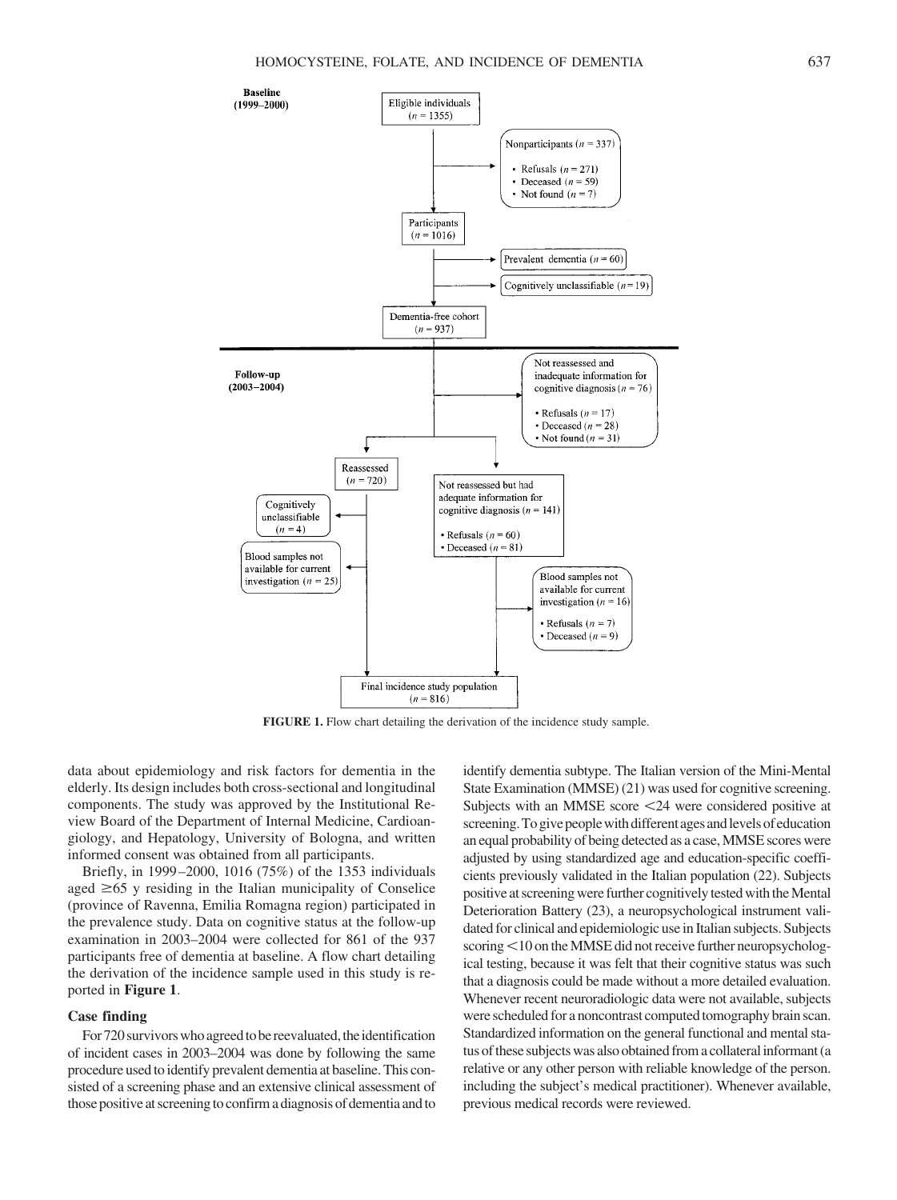

**FIGURE 1.** Flow chart detailing the derivation of the incidence study sample.

data about epidemiology and risk factors for dementia in the elderly. Its design includes both cross-sectional and longitudinal components. The study was approved by the Institutional Review Board of the Department of Internal Medicine, Cardioangiology, and Hepatology, University of Bologna, and written informed consent was obtained from all participants.

Briefly, in 1999 –2000, 1016 (75%) of the 1353 individuals aged  $\geq 65$  y residing in the Italian municipality of Conselice (province of Ravenna, Emilia Romagna region) participated in the prevalence study. Data on cognitive status at the follow-up examination in 2003–2004 were collected for 861 of the 937 participants free of dementia at baseline. A flow chart detailing the derivation of the incidence sample used in this study is reported in **Figure 1**.

# **Case finding**

For 720 survivors who agreed to be reevaluated, the identification of incident cases in 2003–2004 was done by following the same procedure used to identify prevalent dementia at baseline. This consisted of a screening phase and an extensive clinical assessment of those positive at screening to confirm a diagnosis of dementia and to

identify dementia subtype. The Italian version of the Mini-Mental State Examination (MMSE) (21) was used for cognitive screening. Subjects with an MMSE score <24 were considered positive at screening. To give people with different ages and levels of education an equal probability of being detected as a case,MMSE scores were adjusted by using standardized age and education-specific coefficients previously validated in the Italian population (22). Subjects positive at screening were further cognitively tested with the Mental Deterioration Battery (23), a neuropsychological instrument validated for clinical and epidemiologic use in Italian subjects. Subjects scoring <10 on the MMSE did not receive further neuropsychological testing, because it was felt that their cognitive status was such that a diagnosis could be made without a more detailed evaluation. Whenever recent neuroradiologic data were not available, subjects were scheduled for a noncontrast computed tomography brain scan. Standardized information on the general functional and mental status of these subjects was also obtained from a collateral informant (a relative or any other person with reliable knowledge of the person. including the subject's medical practitioner). Whenever available, previous medical records were reviewed.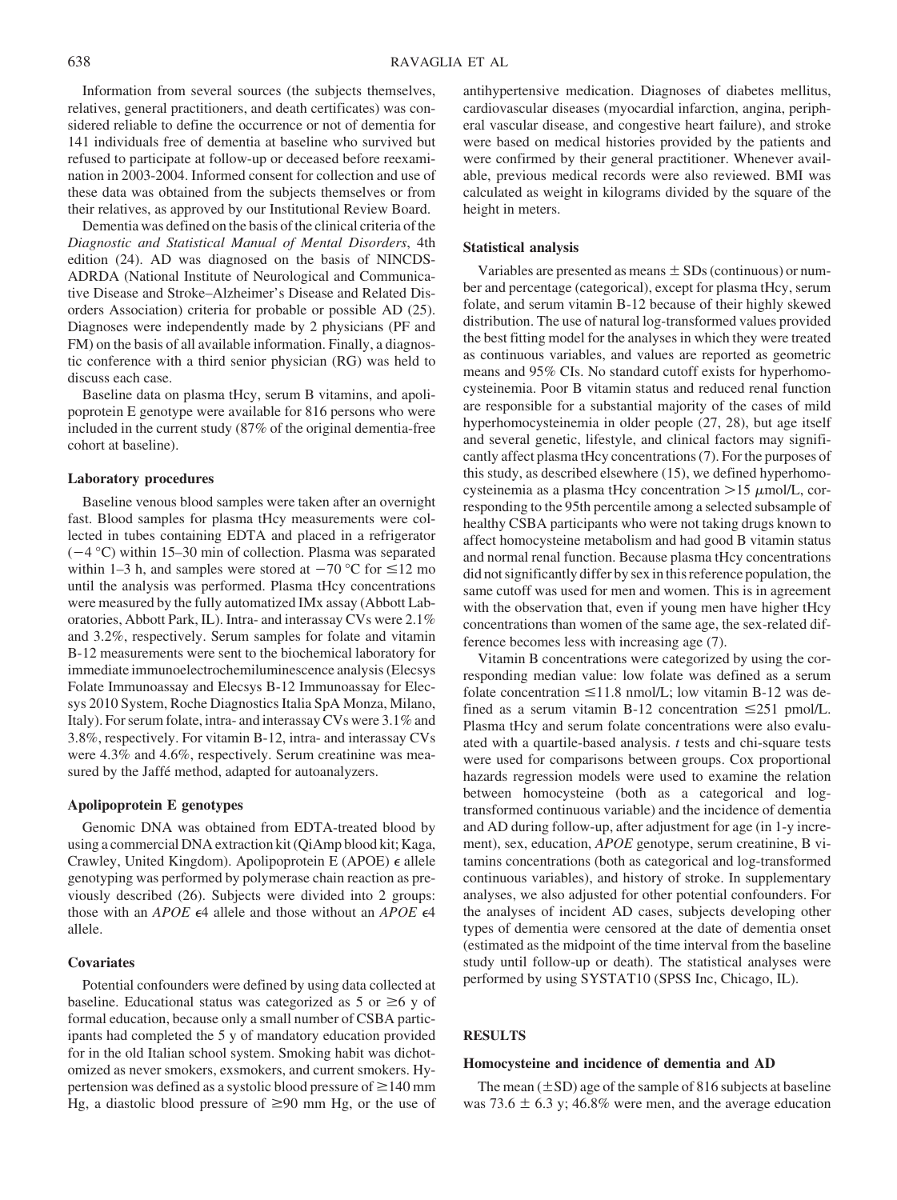Information from several sources (the subjects themselves, relatives, general practitioners, and death certificates) was considered reliable to define the occurrence or not of dementia for 141 individuals free of dementia at baseline who survived but refused to participate at follow-up or deceased before reexamination in 2003-2004. Informed consent for collection and use of these data was obtained from the subjects themselves or from their relatives, as approved by our Institutional Review Board.

Dementia was defined on the basis of the clinical criteria of the *Diagnostic and Statistical Manual of Mental Disorders*, 4th edition (24). AD was diagnosed on the basis of NINCDS-ADRDA (National Institute of Neurological and Communicative Disease and Stroke–Alzheimer's Disease and Related Disorders Association) criteria for probable or possible AD (25). Diagnoses were independently made by 2 physicians (PF and FM) on the basis of all available information. Finally, a diagnostic conference with a third senior physician (RG) was held to discuss each case.

Baseline data on plasma tHcy, serum B vitamins, and apolipoprotein E genotype were available for 816 persons who were included in the current study (87% of the original dementia-free cohort at baseline).

#### **Laboratory procedures**

Baseline venous blood samples were taken after an overnight fast. Blood samples for plasma tHcy measurements were collected in tubes containing EDTA and placed in a refrigerator  $(-4 °C)$  within 15–30 min of collection. Plasma was separated within 1–3 h, and samples were stored at  $-70$  °C for  $\leq$ 12 mo until the analysis was performed. Plasma tHcy concentrations were measured by the fully automatized IMx assay (Abbott Laboratories, Abbott Park, IL). Intra- and interassay CVs were 2.1% and 3.2%, respectively. Serum samples for folate and vitamin B-12 measurements were sent to the biochemical laboratory for immediate immunoelectrochemiluminescence analysis (Elecsys Folate Immunoassay and Elecsys B-12 Immunoassay for Elecsys 2010 System, Roche Diagnostics Italia SpA Monza, Milano, Italy). For serum folate, intra- and interassay CVs were 3.1% and 3.8%, respectively. For vitamin B-12, intra- and interassay CVs were 4.3% and 4.6%, respectively. Serum creatinine was measured by the Jaffé method, adapted for autoanalyzers.

# **Apolipoprotein E genotypes**

Genomic DNA was obtained from EDTA-treated blood by using a commercial DNA extraction kit (QiAmp blood kit; Kaga, Crawley, United Kingdom). Apolipoprotein E (APOE)  $\epsilon$  allele genotyping was performed by polymerase chain reaction as previously described (26). Subjects were divided into 2 groups: those with an *APOE*  $\epsilon$ 4 allele and those without an *APOE*  $\epsilon$ 4 allele.

# **Covariates**

Potential confounders were defined by using data collected at baseline. Educational status was categorized as 5 or  $\geq 6$  y of formal education, because only a small number of CSBA participants had completed the 5 y of mandatory education provided for in the old Italian school system. Smoking habit was dichotomized as never smokers, exsmokers, and current smokers. Hypertension was defined as a systolic blood pressure of  $\geq$  140 mm Hg, a diastolic blood pressure of  $\geq 90$  mm Hg, or the use of

antihypertensive medication. Diagnoses of diabetes mellitus, cardiovascular diseases (myocardial infarction, angina, peripheral vascular disease, and congestive heart failure), and stroke were based on medical histories provided by the patients and were confirmed by their general practitioner. Whenever available, previous medical records were also reviewed. BMI was calculated as weight in kilograms divided by the square of the height in meters.

#### **Statistical analysis**

Variables are presented as means  $\pm$  SDs (continuous) or number and percentage (categorical), except for plasma tHcy, serum folate, and serum vitamin B-12 because of their highly skewed distribution. The use of natural log-transformed values provided the best fitting model for the analyses in which they were treated as continuous variables, and values are reported as geometric means and 95% CIs. No standard cutoff exists for hyperhomocysteinemia. Poor B vitamin status and reduced renal function are responsible for a substantial majority of the cases of mild hyperhomocysteinemia in older people (27, 28), but age itself and several genetic, lifestyle, and clinical factors may significantly affect plasma tHcy concentrations (7). For the purposes of this study, as described elsewhere (15), we defined hyperhomocysteinemia as a plasma tHcy concentration  $>15 \mu$ mol/L, corresponding to the 95th percentile among a selected subsample of healthy CSBA participants who were not taking drugs known to affect homocysteine metabolism and had good B vitamin status and normal renal function. Because plasma tHcy concentrations did not significantly differ by sex in this reference population, the same cutoff was used for men and women. This is in agreement with the observation that, even if young men have higher tHcy concentrations than women of the same age, the sex-related difference becomes less with increasing age (7).

Vitamin B concentrations were categorized by using the corresponding median value: low folate was defined as a serum folate concentration  $\leq 11.8$  nmol/L; low vitamin B-12 was defined as a serum vitamin B-12 concentration  $\leq 251$  pmol/L. Plasma tHcy and serum folate concentrations were also evaluated with a quartile-based analysis. *t* tests and chi-square tests were used for comparisons between groups. Cox proportional hazards regression models were used to examine the relation between homocysteine (both as a categorical and logtransformed continuous variable) and the incidence of dementia and AD during follow-up, after adjustment for age (in 1-y increment), sex, education, *APOE* genotype, serum creatinine, B vitamins concentrations (both as categorical and log-transformed continuous variables), and history of stroke. In supplementary analyses, we also adjusted for other potential confounders. For the analyses of incident AD cases, subjects developing other types of dementia were censored at the date of dementia onset (estimated as the midpoint of the time interval from the baseline study until follow-up or death). The statistical analyses were performed by using SYSTAT10 (SPSS Inc, Chicago, IL).

## **RESULTS**

#### **Homocysteine and incidence of dementia and AD**

The mean  $(\pm SD)$  age of the sample of 816 subjects at baseline was 73.6  $\pm$  6.3 y; 46.8% were men, and the average education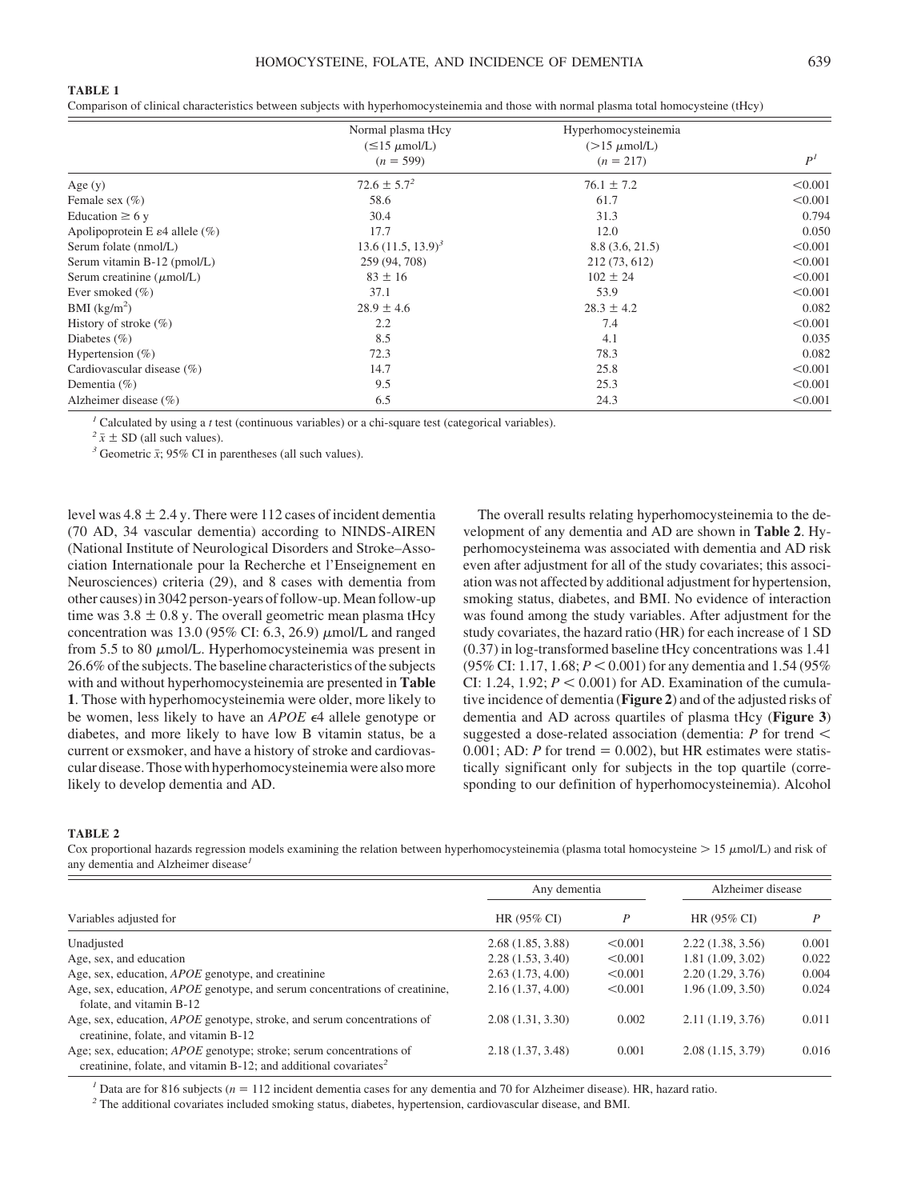#### **TABLE 1**

Comparison of clinical characteristics between subjects with hyperhomocysteinemia and those with normal plasma total homocysteine (tHcy)

|                                             | Normal plasma tHcy           | Hyperhomocysteinemia     |                |
|---------------------------------------------|------------------------------|--------------------------|----------------|
|                                             | $(\leq 15 \mu \text{mol/L})$ | $(>15 \mu \text{mol/L})$ |                |
|                                             | $(n = 599)$                  | $(n = 217)$              | P <sup>I</sup> |
| Age $(y)$                                   | $72.6 \pm 5.7^2$             | $76.1 \pm 7.2$           | < 0.001        |
| Female sex $(\% )$                          | 58.6                         | 61.7                     | < 0.001        |
| Education $\geq 6$ y                        | 30.4                         | 31.3                     | 0.794          |
| Apolipoprotein E $\varepsilon$ 4 allele (%) | 17.7                         | 12.0                     | 0.050          |
| Serum folate (nmol/L)                       | $13.6 (11.5, 13.9)^3$        | 8.8(3.6, 21.5)           | < 0.001        |
| Serum vitamin B-12 (pmol/L)                 | 259 (94, 708)                | 212 (73, 612)            | < 0.001        |
| Serum creatinine $(\mu \text{mol/L})$       | $83 \pm 16$                  | $102 \pm 24$             | < 0.001        |
| Ever smoked $(\% )$                         | 37.1                         | 53.9                     | < 0.001        |
| $BMI$ (kg/m <sup>2</sup> )                  | $28.9 \pm 4.6$               | $28.3 \pm 4.2$           | 0.082          |
| History of stroke $(\%)$                    | 2.2                          | 7.4                      | < 0.001        |
| Diabetes $(\% )$                            | 8.5                          | 4.1                      | 0.035          |
| Hypertension $(\% )$                        | 72.3                         | 78.3                     | 0.082          |
| Cardiovascular disease $(\% )$              | 14.7                         | 25.8                     | < 0.001        |
| Dementia $(\% )$                            | 9.5                          | 25.3                     | < 0.001        |
| Alzheimer disease $(\% )$                   | 6.5                          | 24.3                     | < 0.001        |

<sup>*1*</sup> Calculated by using a *t* test (continuous variables) or a chi-square test (categorical variables).<br><sup>2</sup>  $\bar{x}$  ± SD (all such values).

<sup>3</sup> Geometric  $\bar{x}$ ; 95% CI in parentheses (all such values).

level was  $4.8 \pm 2.4$  y. There were 112 cases of incident dementia (70 AD, 34 vascular dementia) according to NINDS-AIREN (National Institute of Neurological Disorders and Stroke–Association Internationale pour la Recherche et l'Enseignement en Neurosciences) criteria (29), and 8 cases with dementia from other causes) in 3042 person-years of follow-up.Mean follow-up time was  $3.8 \pm 0.8$  y. The overall geometric mean plasma tHcy concentration was 13.0 (95% CI: 6.3, 26.9)  $\mu$ mol/L and ranged from 5.5 to 80  $\mu$ mol/L. Hyperhomocysteinemia was present in 26.6% of the subjects. The baseline characteristics of the subjects with and without hyperhomocysteinemia are presented in **Table 1**. Those with hyperhomocysteinemia were older, more likely to be women, less likely to have an *APOE*  $\epsilon$ 4 allele genotype or diabetes, and more likely to have low B vitamin status, be a current or exsmoker, and have a history of stroke and cardiovascular disease. Those with hyperhomocysteinemia were also more likely to develop dementia and AD.

The overall results relating hyperhomocysteinemia to the development of any dementia and AD are shown in **Table 2**. Hyperhomocysteinema was associated with dementia and AD risk even after adjustment for all of the study covariates; this association was not affected by additional adjustment for hypertension, smoking status, diabetes, and BMI. No evidence of interaction was found among the study variables. After adjustment for the study covariates, the hazard ratio (HR) for each increase of 1 SD (0.37) in log-transformed baseline tHcy concentrations was 1.41  $(95\% \text{ CI: } 1.17, 1.68; P < 0.001)$  for any dementia and 1.54 (95%) CI: 1.24, 1.92;  $P < 0.001$ ) for AD. Examination of the cumulative incidence of dementia (**Figure 2**) and of the adjusted risks of dementia and AD across quartiles of plasma tHcy (**Figure 3**) suggested a dose-related association (dementia: *P* for trend  $0.001$ ; AD: *P* for trend = 0.002), but HR estimates were statistically significant only for subjects in the top quartile (corresponding to our definition of hyperhomocysteinemia). Alcohol

#### **TABLE 2**

Cox proportional hazards regression models examining the relation between hyperhomocysteinemia (plasma total homocysteine  $> 15 \mu$ mol/L) and risk of any dementia and Alzheimer disease*<sup>1</sup>*

|                                                                                                                                                            | Any dementia     |         | Alzheimer disease |       |
|------------------------------------------------------------------------------------------------------------------------------------------------------------|------------------|---------|-------------------|-------|
| Variables adjusted for                                                                                                                                     | HR (95% CI)      | P       | HR (95% CI)       |       |
| Unadjusted                                                                                                                                                 | 2.68(1.85, 3.88) | < 0.001 | 2.22(1.38, 3.56)  | 0.001 |
| Age, sex, and education                                                                                                                                    | 2.28(1.53, 3.40) | < 0.001 | 1.81(1.09, 3.02)  | 0.022 |
| Age, sex, education, <i>APOE</i> genotype, and creatinine                                                                                                  | 2.63(1.73, 4.00) | < 0.001 | 2.20(1.29, 3.76)  | 0.004 |
| Age, sex, education, <i>APOE</i> genotype, and serum concentrations of creatinine,<br>folate, and vitamin B-12                                             | 2.16(1.37, 4.00) | < 0.001 | 1.96 (1.09, 3.50) | 0.024 |
| Age, sex, education, <i>APOE</i> genotype, stroke, and serum concentrations of<br>creatinine, folate, and vitamin B-12                                     | 2.08(1.31, 3.30) | 0.002   | 2.11(1.19, 3.76)  | 0.011 |
| Age; sex, education; <i>APOE</i> genotype; stroke; serum concentrations of<br>creatinine, folate, and vitamin B-12; and additional covariates <sup>2</sup> | 2.18(1.37, 3.48) | 0.001   | 2.08(1.15, 3.79)  | 0.016 |

<sup>1</sup> Data are for 816 subjects ( $n = 112$  incident dementia cases for any dementia and 70 for Alzheimer disease). HR, hazard ratio.

*<sup>2</sup>* The additional covariates included smoking status, diabetes, hypertension, cardiovascular disease, and BMI.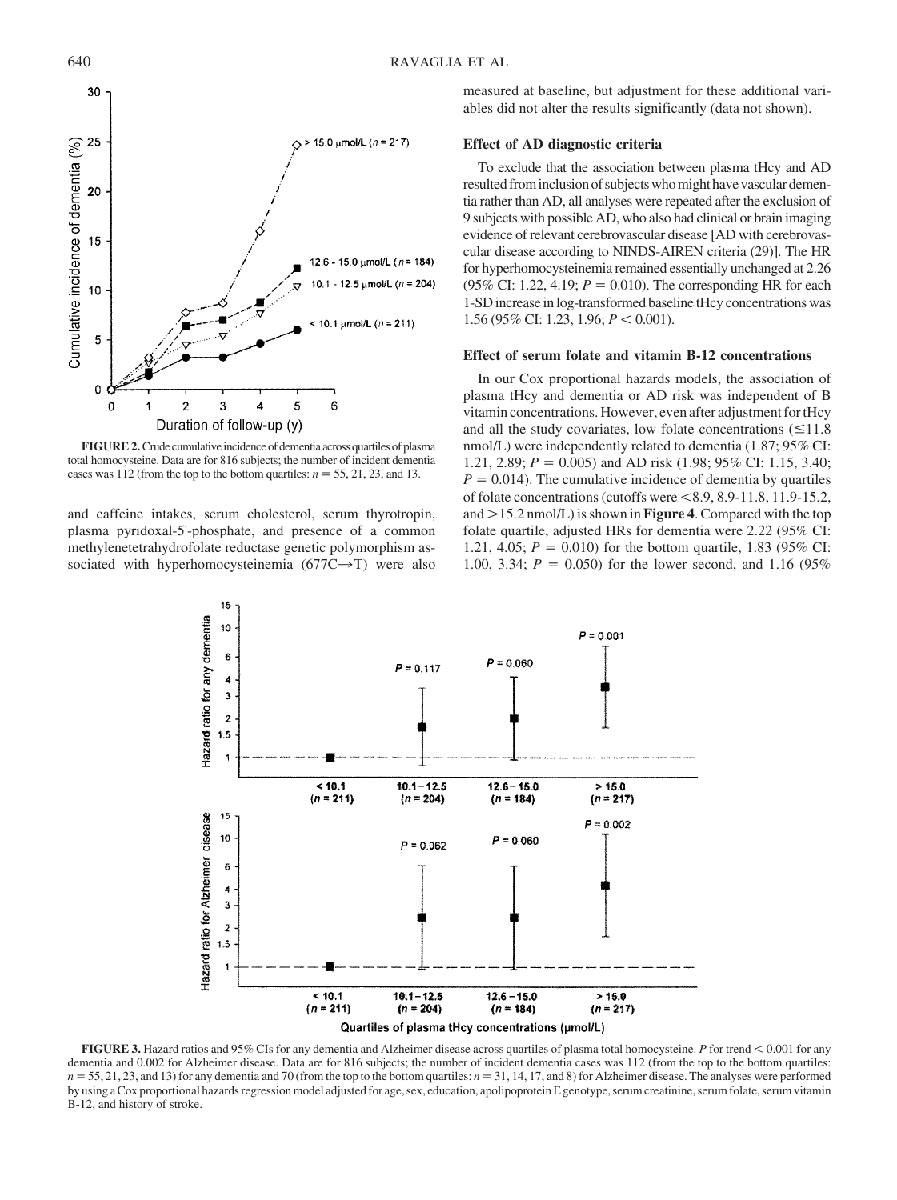

FIGURE 2. Crude cumulative incidence of dementia across quartiles of plasma total homocysteine. Data are for 816 subjects; the number of incident dementia cases was 112 (from the top to the bottom quartiles:  $n = 55, 21, 23$ , and 13.

and caffeine intakes, serum cholesterol, serum thyrotropin, plasma pyridoxal-5'-phosphate, and presence of a common methylenetetrahydrofolate reductase genetic polymorphism associated with hyperhomocysteinemia  $(677C\rightarrow T)$  were also measured at baseline, but adjustment for these additional variables did not alter the results significantly (data not shown).

# **Effect of AD diagnostic criteria**

To exclude that the association between plasma tHcy and AD resulted frominclusion of subjects whomight have vascular dementia rather than AD, all analyses were repeated after the exclusion of 9 subjects with possible AD, who also had clinical or brain imaging evidence of relevant cerebrovascular disease [AD with cerebrovascular disease according to NINDS-AIREN criteria (29)]. The HR for hyperhomocysteinemia remained essentially unchanged at 2.26  $(95\% \text{ CI: } 1.22, 4.19; P = 0.010)$ . The corresponding HR for each 1-SD increase in log-transformed baseline tHcy concentrations was 1.56 (95% CI: 1.23, 1.96;  $P < 0.001$ ).

# **Effect of serum folate and vitamin B-12 concentrations**

In our Cox proportional hazards models, the association of plasma tHcy and dementia or AD risk was independent of B vitamin concentrations. However, even after adjustment for tHcy and all the study covariates, low folate concentrations  $(\leq 11.8$ nmol/L) were independently related to dementia (1.87; 95% CI: 1.21, 2.89; *P* = 0.005) and AD risk (1.98; 95% CI: 1.15, 3.40;  $P = 0.014$ ). The cumulative incidence of dementia by quartiles of folate concentrations (cutoffs were  $\leq 8.9, 8.9$ -11.8, 11.9-15.2, and  $>$ 15.2 nmol/L) is shown in **Figure 4**. Compared with the top folate quartile, adjusted HRs for dementia were 2.22 (95% CI: 1.21, 4.05;  $P = 0.010$ ) for the bottom quartile, 1.83 (95% CI: 1.00, 3.34;  $P = 0.050$  for the lower second, and 1.16 (95%)



**FIGURE 3.** Hazard ratios and 95% CIs for any dementia and Alzheimer disease across quartiles of plasma total homocysteine. *P* for trend 0.001 for any dementia and 0.002 for Alzheimer disease. Data are for 816 subjects; the number of incident dementia cases was 112 (from the top to the bottom quartiles:  $n = 55, 21, 23$ , and 13) for any dementia and 70 (from the top to the bottom quartiles:  $n = 31, 14, 17$ , and 8) for Alzheimer disease. The analyses were performed by using a Cox proportional hazards regression model adjusted for age, sex, education, apolipoprotein E genotype, serum creatinine, serum folate, serum vitamin B-12, and history of stroke.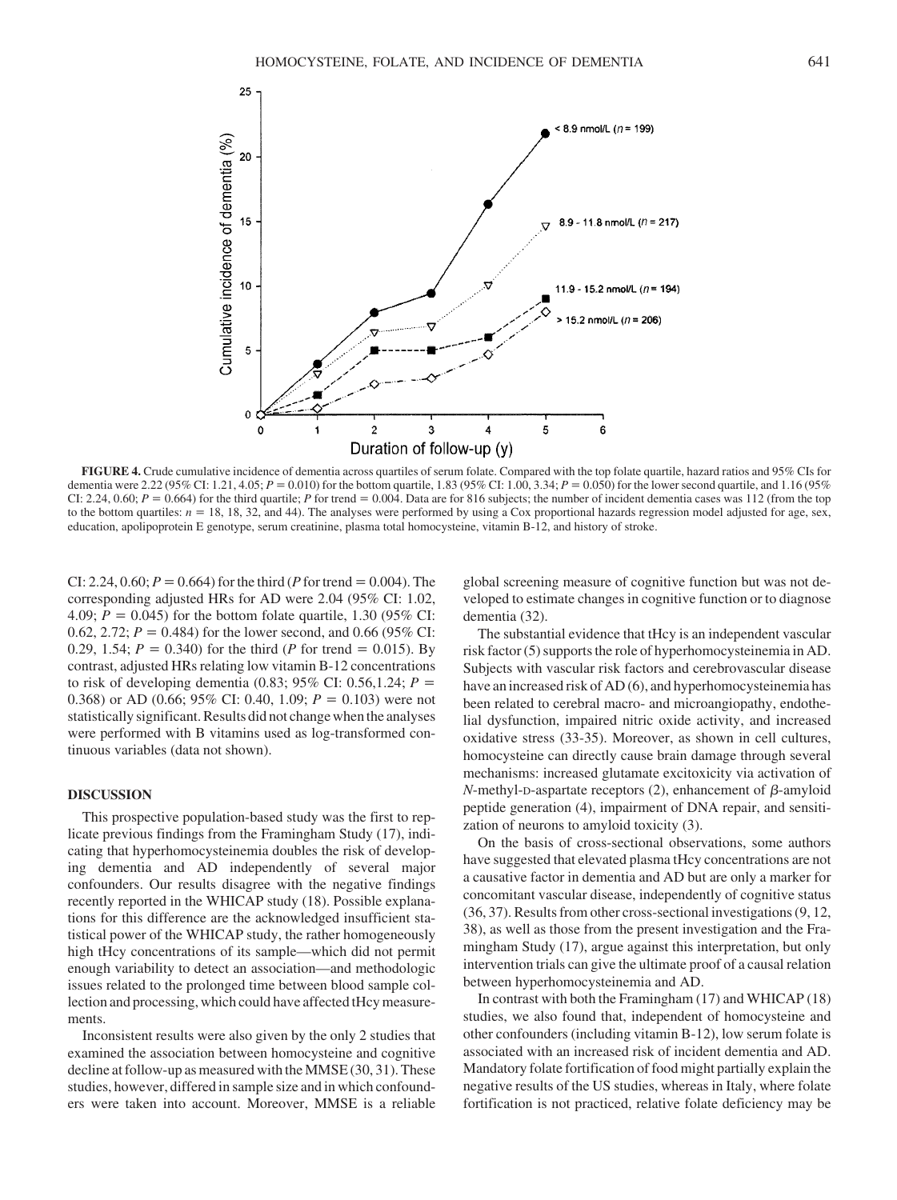

**FIGURE 4.** Crude cumulative incidence of dementia across quartiles of serum folate. Compared with the top folate quartile, hazard ratios and 95% CIs for dementia were 2.22 (95% CI: 1.21, 4.05; *P* = 0.010) for the bottom quartile, 1.83 (95% CI: 1.00, 3.34; *P* = 0.050) for the lower second quartile, and 1.16 (95%) CI: 2.24, 0.60;  $P = 0.664$ ) for the third quartile;  $P$  for trend  $= 0.004$ . Data are for 816 subjects; the number of incident dementia cases was 112 (from the top to the bottom quartiles:  $n = 18$ , 18, 32, and 44). The analyses were performed by using a Cox proportional hazards regression model adjusted for age, sex, education, apolipoprotein E genotype, serum creatinine, plasma total homocysteine, vitamin B-12, and history of stroke.

CI: 2.24,  $0.60; P = 0.664$  for the third (*P* for trend = 0.004). The corresponding adjusted HRs for AD were 2.04 (95% CI: 1.02, 4.09;  $P = 0.045$ ) for the bottom folate quartile, 1.30 (95% CI: 0.62, 2.72;  $P = 0.484$ ) for the lower second, and 0.66 (95% CI: 0.29, 1.54;  $P = 0.340$  for the third (*P* for trend = 0.015). By contrast, adjusted HRs relating low vitamin B-12 concentrations to risk of developing dementia  $(0.83; 95\% \text{ CI: } 0.56, 1.24; P =$ 0.368) or AD (0.66; 95% CI: 0.40, 1.09;  $P = 0.103$ ) were not statistically significant. Results did not change when the analyses were performed with B vitamins used as log-transformed continuous variables (data not shown).

# **DISCUSSION**

This prospective population-based study was the first to replicate previous findings from the Framingham Study (17), indicating that hyperhomocysteinemia doubles the risk of developing dementia and AD independently of several major confounders. Our results disagree with the negative findings recently reported in the WHICAP study (18). Possible explanations for this difference are the acknowledged insufficient statistical power of the WHICAP study, the rather homogeneously high tHcy concentrations of its sample—which did not permit enough variability to detect an association—and methodologic issues related to the prolonged time between blood sample collection and processing, which could have affected tHcy measurements.

Inconsistent results were also given by the only 2 studies that examined the association between homocysteine and cognitive decline at follow-up as measured with the MMSE (30, 31). These studies, however, differed in sample size and in which confounders were taken into account. Moreover, MMSE is a reliable global screening measure of cognitive function but was not developed to estimate changes in cognitive function or to diagnose dementia (32).

The substantial evidence that tHcy is an independent vascular risk factor (5) supports the role of hyperhomocysteinemia in AD. Subjects with vascular risk factors and cerebrovascular disease have an increased risk of AD (6), and hyperhomocysteinemia has been related to cerebral macro- and microangiopathy, endothelial dysfunction, impaired nitric oxide activity, and increased oxidative stress (33-35). Moreover, as shown in cell cultures, homocysteine can directly cause brain damage through several mechanisms: increased glutamate excitoxicity via activation of  $N$ -methyl-D-aspartate receptors (2), enhancement of  $\beta$ -amyloid peptide generation (4), impairment of DNA repair, and sensitization of neurons to amyloid toxicity (3).

On the basis of cross-sectional observations, some authors have suggested that elevated plasma tHcy concentrations are not a causative factor in dementia and AD but are only a marker for concomitant vascular disease, independently of cognitive status (36, 37). Results from other cross-sectional investigations (9, 12, 38), as well as those from the present investigation and the Framingham Study (17), argue against this interpretation, but only intervention trials can give the ultimate proof of a causal relation between hyperhomocysteinemia and AD.

In contrast with both the Framingham (17) and WHICAP (18) studies, we also found that, independent of homocysteine and other confounders (including vitamin B-12), low serum folate is associated with an increased risk of incident dementia and AD. Mandatory folate fortification of food might partially explain the negative results of the US studies, whereas in Italy, where folate fortification is not practiced, relative folate deficiency may be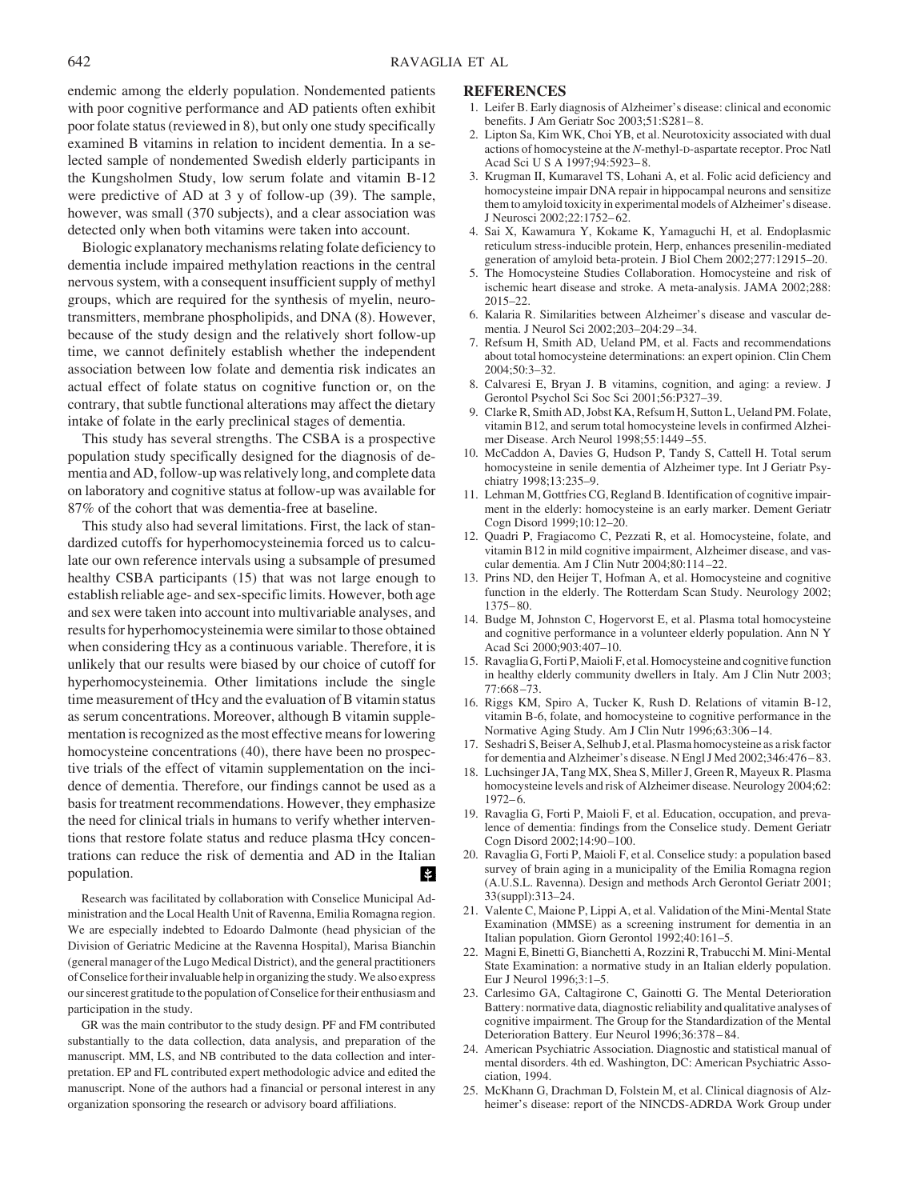endemic among the elderly population. Nondemented patients with poor cognitive performance and AD patients often exhibit poor folate status (reviewed in 8), but only one study specifically examined B vitamins in relation to incident dementia. In a selected sample of nondemented Swedish elderly participants in the Kungsholmen Study, low serum folate and vitamin B-12 were predictive of AD at 3 y of follow-up (39). The sample, however, was small (370 subjects), and a clear association was detected only when both vitamins were taken into account.

Biologic explanatory mechanisms relating folate deficiency to dementia include impaired methylation reactions in the central nervous system, with a consequent insufficient supply of methyl groups, which are required for the synthesis of myelin, neurotransmitters, membrane phospholipids, and DNA (8). However, because of the study design and the relatively short follow-up time, we cannot definitely establish whether the independent association between low folate and dementia risk indicates an actual effect of folate status on cognitive function or, on the contrary, that subtle functional alterations may affect the dietary intake of folate in the early preclinical stages of dementia.

This study has several strengths. The CSBA is a prospective population study specifically designed for the diagnosis of dementia and AD, follow-up was relatively long, and complete data on laboratory and cognitive status at follow-up was available for 87% of the cohort that was dementia-free at baseline.

This study also had several limitations. First, the lack of standardized cutoffs for hyperhomocysteinemia forced us to calculate our own reference intervals using a subsample of presumed healthy CSBA participants (15) that was not large enough to establish reliable age- and sex-specific limits. However, both age and sex were taken into account into multivariable analyses, and results for hyperhomocysteinemia were similar to those obtained when considering tHcy as a continuous variable. Therefore, it is unlikely that our results were biased by our choice of cutoff for hyperhomocysteinemia. Other limitations include the single time measurement of tHcy and the evaluation of B vitamin status as serum concentrations. Moreover, although B vitamin supplementation is recognized as the most effective means for lowering homocysteine concentrations (40), there have been no prospective trials of the effect of vitamin supplementation on the incidence of dementia. Therefore, our findings cannot be used as a basis for treatment recommendations. However, they emphasize the need for clinical trials in humans to verify whether interventions that restore folate status and reduce plasma tHcy concentrations can reduce the risk of dementia and AD in the Italian population. П

Research was facilitated by collaboration with Conselice Municipal Administration and the Local Health Unit of Ravenna, Emilia Romagna region. We are especially indebted to Edoardo Dalmonte (head physician of the Division of Geriatric Medicine at the Ravenna Hospital), Marisa Bianchin (general manager of the Lugo Medical District), and the general practitioners of Conselice for their invaluable help in organizing the study. We also express our sincerest gratitude to the population of Conselice for their enthusiasm and participation in the study.

GR was the main contributor to the study design. PF and FM contributed substantially to the data collection, data analysis, and preparation of the manuscript. MM, LS, and NB contributed to the data collection and interpretation. EP and FL contributed expert methodologic advice and edited the manuscript. None of the authors had a financial or personal interest in any organization sponsoring the research or advisory board affiliations.

# **REFERENCES**

- 1. Leifer B. Early diagnosis of Alzheimer's disease: clinical and economic benefits. J Am Geriatr Soc 2003;51:S281– 8.
- 2. Lipton Sa, Kim WK, Choi YB, et al. Neurotoxicity associated with dual actions of homocysteine at the *N*-methyl-D-aspartate receptor. Proc Natl Acad Sci U S A 1997;94:5923-8.
- 3. Krugman II, Kumaravel TS, Lohani A, et al. Folic acid deficiency and homocysteine impair DNA repair in hippocampal neurons and sensitize them to amyloid toxicity in experimental models of Alzheimer's disease. J Neurosci 2002;22:1752– 62.
- 4. Sai X, Kawamura Y, Kokame K, Yamaguchi H, et al. Endoplasmic reticulum stress-inducible protein, Herp, enhances presenilin-mediated generation of amyloid beta-protein. J Biol Chem 2002;277:12915–20.
- 5. The Homocysteine Studies Collaboration. Homocysteine and risk of ischemic heart disease and stroke. A meta-analysis. JAMA 2002;288: 2015–22.
- 6. Kalaria R. Similarities between Alzheimer's disease and vascular dementia. J Neurol Sci 2002;203–204:29 –34.
- 7. Refsum H, Smith AD, Ueland PM, et al. Facts and recommendations about total homocysteine determinations: an expert opinion. Clin Chem 2004;50:3–32.
- 8. Calvaresi E, Bryan J. B vitamins, cognition, and aging: a review. J Gerontol Psychol Sci Soc Sci 2001;56:P327–39.
- 9. Clarke R, Smith AD, Jobst KA, Refsum H, Sutton L, Ueland PM. Folate, vitamin B12, and serum total homocysteine levels in confirmed Alzheimer Disease. Arch Neurol 1998;55:1449 –55.
- 10. McCaddon A, Davies G, Hudson P, Tandy S, Cattell H. Total serum homocysteine in senile dementia of Alzheimer type. Int J Geriatr Psychiatry 1998;13:235–9.
- 11. Lehman M, Gottfries CG, Regland B. Identification of cognitive impairment in the elderly: homocysteine is an early marker. Dement Geriatr Cogn Disord 1999;10:12–20.
- 12. Quadri P, Fragiacomo C, Pezzati R, et al. Homocysteine, folate, and vitamin B12 in mild cognitive impairment, Alzheimer disease, and vascular dementia. Am J Clin Nutr 2004;80:114 –22.
- 13. Prins ND, den Heijer T, Hofman A, et al. Homocysteine and cognitive function in the elderly. The Rotterdam Scan Study. Neurology 2002; 1375– 80.
- 14. Budge M, Johnston C, Hogervorst E, et al. Plasma total homocysteine and cognitive performance in a volunteer elderly population. Ann N Y Acad Sci 2000;903:407–10.
- 15. Ravaglia G, Forti P,Maioli F, et al. Homocysteine and cognitive function in healthy elderly community dwellers in Italy. Am J Clin Nutr 2003;  $77:668 - 73$ .
- 16. Riggs KM, Spiro A, Tucker K, Rush D. Relations of vitamin B-12, vitamin B-6, folate, and homocysteine to cognitive performance in the Normative Aging Study. Am J Clin Nutr 1996;63:306 –14.
- 17. Seshadri S, Beiser A, Selhub J, et al. Plasma homocysteine as a risk factor for dementia and Alzheimer's disease. N Engl J Med 2002;346:476 – 83.
- 18. Luchsinger JA, Tang MX, Shea S, Miller J, Green R, Mayeux R. Plasma homocysteine levels and risk of Alzheimer disease. Neurology 2004;62:  $1972 - 6.$
- 19. Ravaglia G, Forti P, Maioli F, et al. Education, occupation, and prevalence of dementia: findings from the Conselice study. Dement Geriatr Cogn Disord 2002;14:90 –100.
- 20. Ravaglia G, Forti P, Maioli F, et al. Conselice study: a population based survey of brain aging in a municipality of the Emilia Romagna region (A.U.S.L. Ravenna). Design and methods Arch Gerontol Geriatr 2001; 33(suppl):313–24.
- 21. Valente C, Maione P, Lippi A, et al. Validation of the Mini-Mental State Examination (MMSE) as a screening instrument for dementia in an Italian population. Giorn Gerontol 1992;40:161–5.
- 22. Magni E, Binetti G, Bianchetti A, Rozzini R, Trabucchi M. Mini-Mental State Examination: a normative study in an Italian elderly population. Eur J Neurol 1996;3:1–5.
- 23. Carlesimo GA, Caltagirone C, Gainotti G. The Mental Deterioration Battery: normative data, diagnostic reliability and qualitative analyses of cognitive impairment. The Group for the Standardization of the Mental Deterioration Battery. Eur Neurol 1996;36:378 – 84.
- 24. American Psychiatric Association. Diagnostic and statistical manual of mental disorders. 4th ed. Washington, DC: American Psychiatric Association, 1994.
- 25. McKhann G, Drachman D, Folstein M, et al. Clinical diagnosis of Alzheimer's disease: report of the NINCDS-ADRDA Work Group under